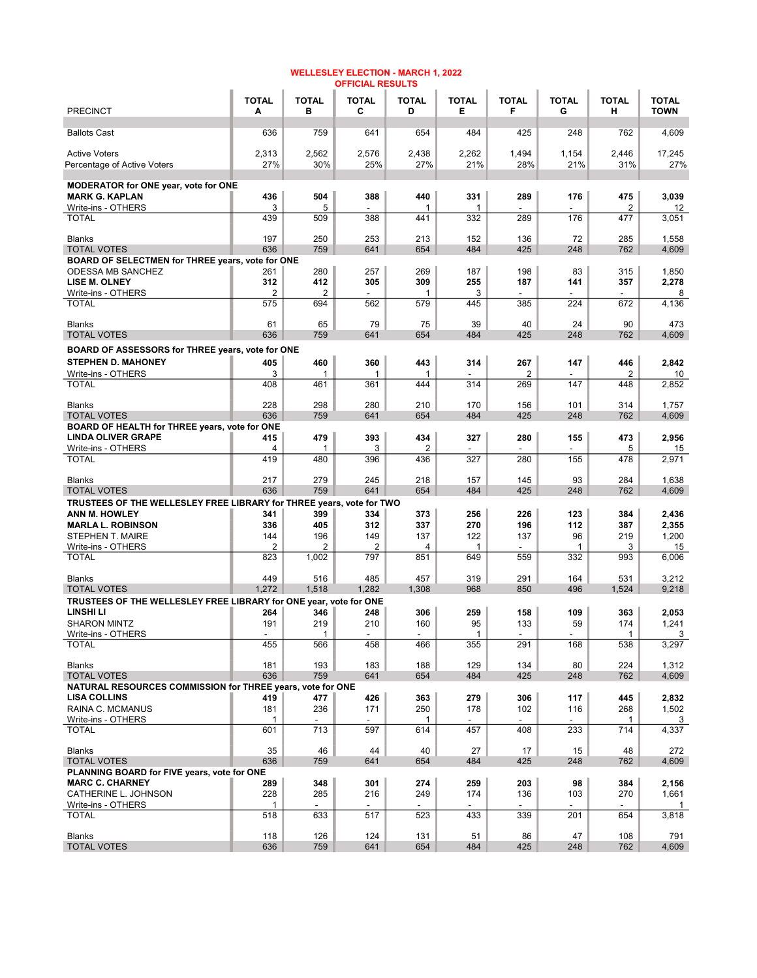| <b>PRECINCT</b>                                                                         | <b>TOTAL</b><br>Α     | <b>TOTAL</b><br>в | <b>TOTAL</b><br>С | <b>TOTAL</b><br>D   | <b>TOTAL</b><br>Е | <b>TOTAL</b><br>F        | <b>TOTAL</b><br>G | <b>TOTAL</b><br>н     | <b>TOTAL</b><br><b>TOWN</b> |
|-----------------------------------------------------------------------------------------|-----------------------|-------------------|-------------------|---------------------|-------------------|--------------------------|-------------------|-----------------------|-----------------------------|
| <b>Ballots Cast</b>                                                                     | 636                   | 759               | 641               | 654                 | 484               | 425                      | 248               | 762                   | 4,609                       |
| <b>Active Voters</b>                                                                    | 2,313                 | 2,562             | 2,576             | 2,438               | 2,262             | 1,494                    | 1,154             | 2,446                 | 17,245                      |
| Percentage of Active Voters                                                             | 27%                   | 30%               | 25%               | 27%                 | 21%               | 28%                      | 21%               | 31%                   | 27%                         |
| MODERATOR for ONE year, vote for ONE                                                    |                       |                   |                   |                     |                   |                          |                   |                       |                             |
| <b>MARK G. KAPLAN</b>                                                                   | 436                   | 504               | 388               | 440                 | 331               | 289                      | 176               | 475                   | 3,039                       |
| Write-ins - OTHERS<br><b>TOTAL</b>                                                      | 3<br>439              | 5<br>509          | 388               | 1<br>441            | 1<br>332          | 289                      | 176               | $\overline{2}$<br>477 | 12<br>3,051                 |
|                                                                                         |                       |                   |                   |                     |                   |                          |                   |                       |                             |
| <b>Blanks</b>                                                                           | 197                   | 250               | 253               | 213                 | 152               | 136                      | 72                | 285                   | 1,558                       |
| <b>TOTAL VOTES</b><br>BOARD OF SELECTMEN for THREE years, vote for ONE                  | 636                   | 759               | 641               | 654                 | 484               | 425                      | 248               | 762                   | 4,609                       |
| <b>ODESSA MB SANCHEZ</b>                                                                | 261                   | 280               | 257               | 269                 | 187               | 198                      | 83                | 315                   | 1,850                       |
| LISE M. OLNEY                                                                           | 312                   | 412               | 305               | 309                 | 255               | 187                      | 141               | 357                   | 2,278                       |
| Write-ins - OTHERS<br><b>TOTAL</b>                                                      | $\overline{2}$<br>575 | 2<br>694          | 562               | $\mathbf{1}$<br>579 | 3<br>445          | 385                      | 224               | 672                   | 8<br>4,136                  |
|                                                                                         |                       |                   |                   |                     |                   |                          |                   |                       |                             |
| <b>Blanks</b>                                                                           | 61                    | 65                | 79                | 75                  | 39                | 40                       | 24                | 90                    | 473                         |
| <b>TOTAL VOTES</b>                                                                      | 636                   | 759               | 641               | 654                 | 484               | 425                      | 248               | 762                   | 4,609                       |
| BOARD OF ASSESSORS for THREE years, vote for ONE<br><b>STEPHEN D. MAHONEY</b>           | 405                   | 460               | 360               | 443                 | 314               | 267                      | 147               | 446                   | 2,842                       |
| Write-ins - OTHERS                                                                      | 3                     | 1                 | 1                 | 1                   |                   | 2                        |                   | 2                     | 10                          |
| <b>TOTAL</b>                                                                            | 408                   | 461               | 361               | 444                 | 314               | 269                      | 147               | 448                   | 2,852                       |
| <b>Blanks</b>                                                                           | 228                   | 298               | 280               | 210                 | 170               | 156                      | 101               | 314                   | 1,757                       |
| <b>TOTAL VOTES</b>                                                                      | 636                   | 759               | 641               | 654                 | 484               | 425                      | 248               | 762                   | 4,609                       |
| BOARD OF HEALTH for THREE years, vote for ONE                                           |                       |                   |                   |                     |                   |                          |                   |                       |                             |
| <b>LINDA OLIVER GRAPE</b>                                                               | 415<br>4              | 479               | 393               | 434                 | 327               | 280                      | 155               | 473                   | 2,956                       |
| Write-ins - OTHERS<br>TOTAL                                                             | 419                   | 1<br>480          | 3<br>396          | 2<br>436            | 327               | 280                      | 155               | 5<br>478              | 15<br>2,971                 |
|                                                                                         |                       |                   |                   |                     |                   |                          |                   |                       |                             |
| <b>Blanks</b><br><b>TOTAL VOTES</b>                                                     | 217<br>636            | 279<br>759        | 245<br>641        | 218<br>654          | 157<br>484        | 145<br>425               | 93<br>248         | 284<br>762            | 1,638<br>4,609              |
| TRUSTEES OF THE WELLESLEY FREE LIBRARY for THREE years, vote for TWO                    |                       |                   |                   |                     |                   |                          |                   |                       |                             |
| <b>ANN M. HOWLEY</b>                                                                    | 341                   | 399               | 334               | 373                 | 256               | 226                      | 123               | 384                   | 2,436                       |
| <b>MARLA L. ROBINSON</b>                                                                | 336                   | 405               | 312               | 337                 | 270               | 196                      | 112               | 387                   | 2,355                       |
| STEPHEN T. MAIRE                                                                        | 144<br>2              | 196<br>2          | 149<br>2          | 137<br>4            | 122<br>1          | 137                      | 96<br>1           | 219                   | 1,200                       |
| Write-ins - OTHERS<br><b>TOTAL</b>                                                      | 823                   | 1,002             | 797               | 851                 | 649               | 559                      | 332               | 3<br>993              | 15<br>6,006                 |
|                                                                                         |                       |                   |                   |                     |                   |                          |                   |                       |                             |
| <b>Blanks</b>                                                                           | 449                   | 516               | 485               | 457                 | 319               | 291                      | 164               | 531                   | 3,212                       |
| <b>TOTAL VOTES</b><br>TRUSTEES OF THE WELLESLEY FREE LIBRARY for ONE year, vote for ONE | 1,272                 | 1,518             | 1,282             | 1,308               | 968               | 850                      | 496               | 1,524                 | 9,218                       |
| LINSHI LI                                                                               | 264                   | 346               | 248               | 306                 | 259               | 158                      | 109               | 363                   | 2,053                       |
| <b>SHARON MINTZ</b>                                                                     | 191                   | 219               | 210               | 160                 | 95                | 133                      | 59                | 174                   | 1,241                       |
| Write-ins - OTHERS                                                                      | $\overline{a}$        | 1                 | $\blacksquare$    | $\overline{a}$      | $\mathbf{1}$      | $\overline{\phantom{a}}$ | $\blacksquare$    | 1                     | 3                           |
| <b>IOIAL</b>                                                                            | 455                   | 566               | 458               | 466                 | 355               | 291                      | 168               | 538                   | 3,297                       |
| <b>Blanks</b>                                                                           | 181                   | 193               | 183               | 188                 | 129               | 134                      | 80                | 224                   | 1,312                       |
| <b>TOTAL VOTES</b>                                                                      | 636                   | 759               | 641               | 654                 | 484               | 425                      | 248               | 762                   | 4,609                       |
| NATURAL RESOURCES COMMISSION for THREE years, vote for ONE<br><b>LISA COLLINS</b>       | 419                   |                   |                   | 363                 | 279               | 306                      | 117               | 445                   |                             |
| RAINA C. MCMANUS                                                                        | 181                   | 477<br>236        | 426<br>171        | 250                 | 178               | 102                      | 116               | 268                   | 2,832<br>1,502              |
| Write-ins - OTHERS                                                                      | 1                     |                   |                   | 1                   |                   |                          |                   | 1                     | 3                           |
| <b>TOTAL</b>                                                                            | 601                   | 713               | 597               | 614                 | 457               | 408                      | 233               | 714                   | 4,337                       |
| <b>Blanks</b>                                                                           | 35                    | 46                | 44                | 40                  | 27                | 17                       | 15                | 48                    | 272                         |
| <b>TOTAL VOTES</b>                                                                      | 636                   | 759               | 641               | 654                 | 484               | 425                      | 248               | 762                   | 4,609                       |
| PLANNING BOARD for FIVE years, vote for ONE                                             |                       |                   |                   |                     |                   |                          |                   |                       |                             |
| <b>MARC C. CHARNEY</b>                                                                  | 289                   | 348               | 301               | 274                 | 259               | 203                      | 98                | 384                   | 2,156                       |
| CATHERINE L. JOHNSON<br>Write-ins - OTHERS                                              | 228<br>1              | 285               | 216               | 249                 | 174               | 136                      | 103               | 270                   | 1,661<br>$\mathbf{1}$       |
| <b>TOTAL</b>                                                                            | 518                   | 633               | 517               | 523                 | 433               | 339                      | 201               | 654                   | 3,818                       |
|                                                                                         |                       |                   |                   |                     |                   |                          |                   |                       |                             |
| <b>Blanks</b><br><b>TOTAL VOTES</b>                                                     | 118<br>636            | 126<br>759        | 124<br>641        | 131<br>654          | 51<br>484         | 86<br>425                | 47<br>248         | 108<br>762            | 791<br>4,609                |
|                                                                                         |                       |                   |                   |                     |                   |                          |                   |                       |                             |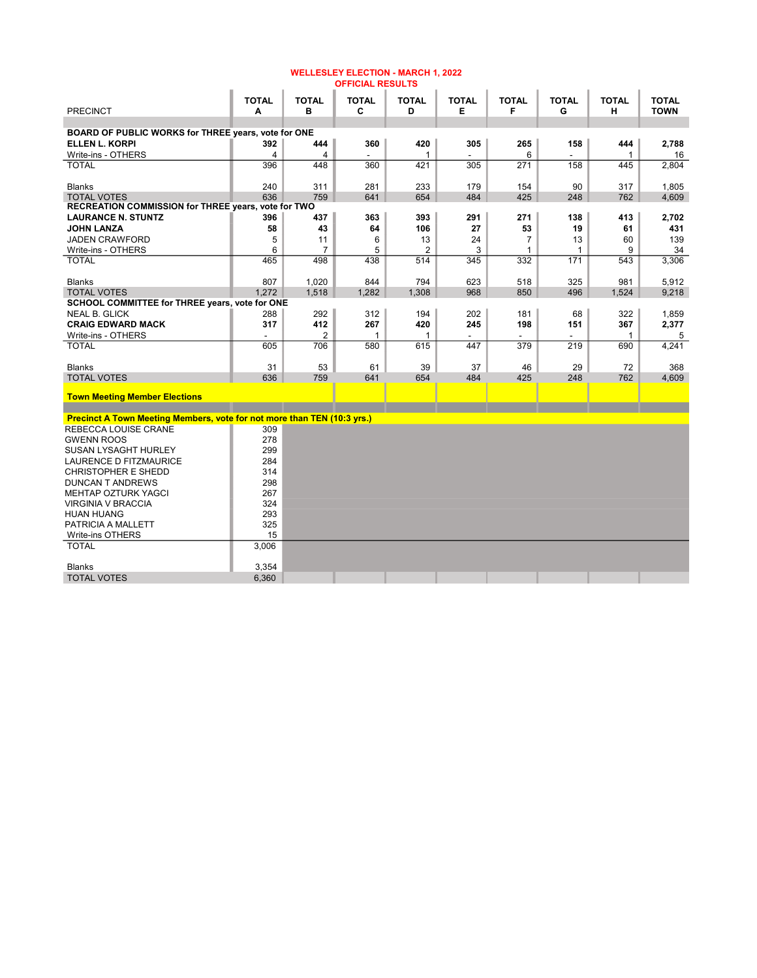|                                                                         |                   |                   | <b>OFFICIAL RESULTS</b> |                   |                   |                   |                   |                   |                             |
|-------------------------------------------------------------------------|-------------------|-------------------|-------------------------|-------------------|-------------------|-------------------|-------------------|-------------------|-----------------------------|
| <b>PRECINCT</b>                                                         | <b>TOTAL</b><br>A | <b>TOTAL</b><br>в | <b>TOTAL</b><br>C       | <b>TOTAL</b><br>D | <b>TOTAL</b><br>E | <b>TOTAL</b><br>F | <b>TOTAL</b><br>G | <b>TOTAL</b><br>н | <b>TOTAL</b><br><b>TOWN</b> |
|                                                                         |                   |                   |                         |                   |                   |                   |                   |                   |                             |
| BOARD OF PUBLIC WORKS for THREE years, vote for ONE                     |                   |                   |                         |                   |                   |                   |                   |                   |                             |
| <b>ELLEN L. KORPI</b>                                                   | 392               | 444               | 360                     | 420               | 305               | 265               | 158               | 444               | 2,788                       |
| Write-ins - OTHERS                                                      | $\overline{4}$    | 4                 |                         | -1                |                   | 6                 |                   | $\mathbf{1}$      | 16                          |
| <b>TOTAL</b>                                                            | 396               | 448               | 360                     | 421               | 305               | 271               | 158               | 445               | 2,804                       |
| <b>Blanks</b>                                                           | 240               | 311               | 281                     | 233               | 179               | 154               | 90                | 317               | 1,805                       |
| <b>TOTAL VOTES</b>                                                      | 636               | 759               | 641                     | 654               | 484               | 425               | 248               | 762               | 4,609                       |
| RECREATION COMMISSION for THREE years, vote for TWO                     |                   |                   |                         |                   |                   |                   |                   |                   |                             |
| <b>LAURANCE N. STUNTZ</b>                                               | 396               | 437               | 363                     | 393               | 291               | 271               | 138               | 413               | 2,702                       |
| <b>JOHN LANZA</b>                                                       | 58                | 43                | 64                      | 106               | 27                | 53                | 19                | 61                | 431                         |
| <b>JADEN CRAWFORD</b>                                                   | 5                 | 11                | 6                       | 13                | 24                | $\overline{7}$    | 13                | 60                | 139                         |
| Write-ins - OTHERS                                                      | 6                 | $\overline{7}$    | 5                       | $\overline{2}$    | 3                 | $\mathbf{1}$      | $\mathbf{1}$      | 9                 | 34                          |
| <b>TOTAL</b>                                                            | 465               | 498               | 438                     | 514               | 345               | 332               | 171               | 543               | 3,306                       |
| <b>Blanks</b>                                                           | 807               | 1.020             | 844                     | 794               | 623               | 518               | 325               | 981               | 5,912                       |
| <b>TOTAL VOTES</b>                                                      | 1,272             | 1,518             | 1.282                   | 1,308             | 968               | 850               | 496               | 1,524             | 9,218                       |
| SCHOOL COMMITTEE for THREE years, vote for ONE                          |                   |                   |                         |                   |                   |                   |                   |                   |                             |
| <b>NEAL B. GLICK</b>                                                    | 288               | 292               | 312                     | 194               | 202               | 181               | 68                | 322               | 1,859                       |
| <b>CRAIG EDWARD MACK</b>                                                | 317               | 412               | 267                     | 420               | 245               | 198               | 151               | 367               | 2,377                       |
| Write-ins - OTHERS                                                      |                   | 2                 | 1                       | 1                 |                   |                   |                   | $\mathbf{1}$      | 5                           |
| <b>TOTAL</b>                                                            | 605               | 706               | 580                     | 615               | 447               | 379               | 219               | 690               | 4,241                       |
| <b>Blanks</b>                                                           | 31                | 53                | 61                      | 39                | 37                | 46                | 29                | 72                | 368                         |
| <b>TOTAL VOTES</b>                                                      | 636               | 759               | 641                     | 654               | 484               | 425               | 248               | 762               | 4,609                       |
| <b>Town Meeting Member Elections</b>                                    |                   |                   |                         |                   |                   |                   |                   |                   |                             |
|                                                                         |                   |                   |                         |                   |                   |                   |                   |                   |                             |
| Precinct A Town Meeting Members, vote for not more than TEN (10:3 yrs.) |                   |                   |                         |                   |                   |                   |                   |                   |                             |
| <b>REBECCA LOUISE CRANE</b>                                             | 309               |                   |                         |                   |                   |                   |                   |                   |                             |
| <b>GWENN ROOS</b>                                                       | 278               |                   |                         |                   |                   |                   |                   |                   |                             |
| SUSAN LYSAGHT HURLEY                                                    | 299               |                   |                         |                   |                   |                   |                   |                   |                             |
| LAURENCE D FITZMAURICE                                                  | 284               |                   |                         |                   |                   |                   |                   |                   |                             |
| <b>CHRISTOPHER E SHEDD</b>                                              | 314               |                   |                         |                   |                   |                   |                   |                   |                             |
| <b>DUNCAN T ANDREWS</b>                                                 | 298               |                   |                         |                   |                   |                   |                   |                   |                             |
| <b>MEHTAP OZTURK YAGCI</b>                                              | 267               |                   |                         |                   |                   |                   |                   |                   |                             |
| <b>VIRGINIA V BRACCIA</b>                                               | 324               |                   |                         |                   |                   |                   |                   |                   |                             |
| <b>HUAN HUANG</b>                                                       | 293               |                   |                         |                   |                   |                   |                   |                   |                             |
| PATRICIA A MALLETT                                                      | 325               |                   |                         |                   |                   |                   |                   |                   |                             |
| Write-ins OTHERS                                                        | 15                |                   |                         |                   |                   |                   |                   |                   |                             |
| <b>TOTAL</b>                                                            | 3,006             |                   |                         |                   |                   |                   |                   |                   |                             |
| <b>Blanks</b>                                                           | 3.354             |                   |                         |                   |                   |                   |                   |                   |                             |
| <b>TOTAL VOTES</b>                                                      | 6,360             |                   |                         |                   |                   |                   |                   |                   |                             |

WELLESLEY ELECTION - MARCH 1, 2022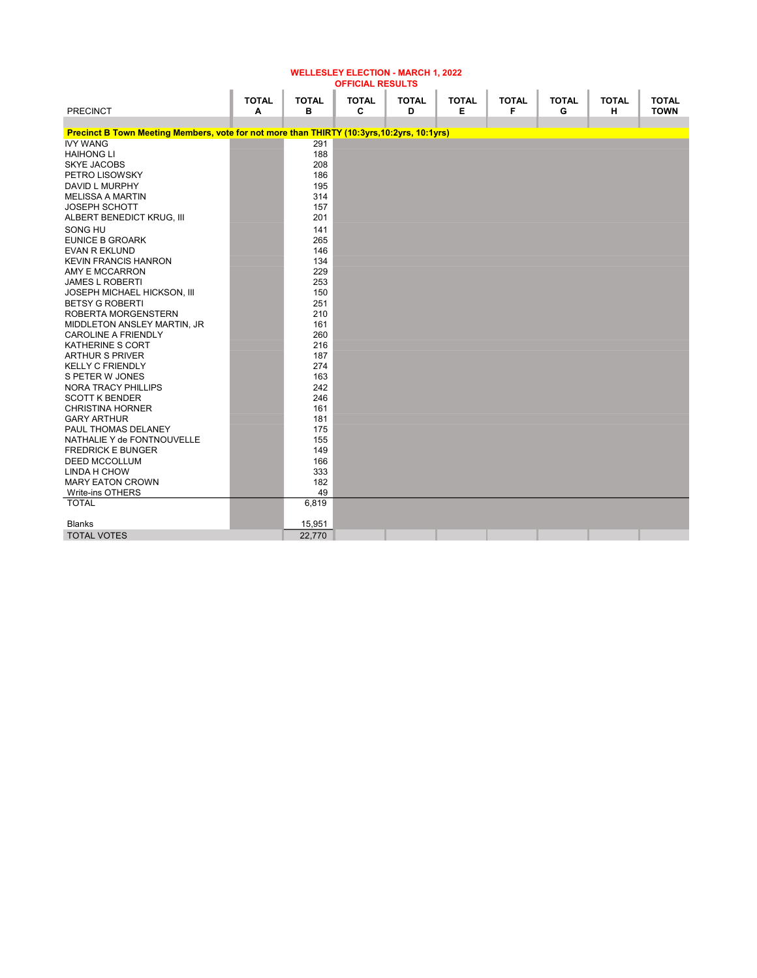| <b>OFFICIAL RESULTS</b>                                                                    |              |              |              |              |              |              |              |              |              |  |  |
|--------------------------------------------------------------------------------------------|--------------|--------------|--------------|--------------|--------------|--------------|--------------|--------------|--------------|--|--|
|                                                                                            | <b>TOTAL</b> | <b>TOTAL</b> | <b>TOTAL</b> | <b>TOTAL</b> | <b>TOTAL</b> | <b>TOTAL</b> | <b>TOTAL</b> | <b>TOTAL</b> | <b>TOTAL</b> |  |  |
| <b>PRECINCT</b>                                                                            | A            | в            | C            | D            | Е            | F            | G            | н            | <b>TOWN</b>  |  |  |
|                                                                                            |              |              |              |              |              |              |              |              |              |  |  |
| Precinct B Town Meeting Members, vote for not more than THIRTY (10:3yrs, 10:2yrs, 10:1yrs) |              |              |              |              |              |              |              |              |              |  |  |
| <b>IVY WANG</b>                                                                            |              | 291          |              |              |              |              |              |              |              |  |  |
| <b>HAIHONG LI</b>                                                                          |              | 188          |              |              |              |              |              |              |              |  |  |
| <b>SKYE JACOBS</b>                                                                         |              | 208          |              |              |              |              |              |              |              |  |  |
| PETRO LISOWSKY                                                                             |              | 186          |              |              |              |              |              |              |              |  |  |
| DAVID L MURPHY                                                                             |              | 195          |              |              |              |              |              |              |              |  |  |
| <b>MELISSA A MARTIN</b>                                                                    |              | 314          |              |              |              |              |              |              |              |  |  |
| <b>JOSEPH SCHOTT</b>                                                                       |              | 157          |              |              |              |              |              |              |              |  |  |
| ALBERT BENEDICT KRUG, III                                                                  |              | 201          |              |              |              |              |              |              |              |  |  |
| SONG HU                                                                                    |              | 141          |              |              |              |              |              |              |              |  |  |
| <b>EUNICE B GROARK</b>                                                                     |              | 265          |              |              |              |              |              |              |              |  |  |
| <b>EVAN R EKLUND</b>                                                                       |              | 146          |              |              |              |              |              |              |              |  |  |
| <b>KEVIN FRANCIS HANRON</b>                                                                |              | 134          |              |              |              |              |              |              |              |  |  |
| AMY E MCCARRON                                                                             |              | 229          |              |              |              |              |              |              |              |  |  |
| <b>JAMES L ROBERTI</b>                                                                     |              | 253          |              |              |              |              |              |              |              |  |  |
| JOSEPH MICHAEL HICKSON, III                                                                |              | 150          |              |              |              |              |              |              |              |  |  |
| <b>BETSY G ROBERTI</b>                                                                     |              | 251          |              |              |              |              |              |              |              |  |  |
| ROBERTA MORGENSTERN                                                                        |              | 210          |              |              |              |              |              |              |              |  |  |
| MIDDLETON ANSLEY MARTIN, JR                                                                |              | 161          |              |              |              |              |              |              |              |  |  |
| <b>CAROLINE A FRIENDLY</b>                                                                 |              | 260          |              |              |              |              |              |              |              |  |  |
| KATHERINE S CORT                                                                           |              | 216          |              |              |              |              |              |              |              |  |  |
| <b>ARTHUR S PRIVER</b>                                                                     |              | 187          |              |              |              |              |              |              |              |  |  |
| <b>KELLY C FRIENDLY</b>                                                                    |              | 274<br>163   |              |              |              |              |              |              |              |  |  |
| S PETER W JONES                                                                            |              | 242          |              |              |              |              |              |              |              |  |  |
| <b>NORA TRACY PHILLIPS</b><br><b>SCOTT K BENDER</b>                                        |              | 246          |              |              |              |              |              |              |              |  |  |
| <b>CHRISTINA HORNER</b>                                                                    |              | 161          |              |              |              |              |              |              |              |  |  |
| <b>GARY ARTHUR</b>                                                                         |              | 181          |              |              |              |              |              |              |              |  |  |
| PAUL THOMAS DELANEY                                                                        |              | 175          |              |              |              |              |              |              |              |  |  |
| NATHALIE Y de FONTNOUVELLE                                                                 |              | 155          |              |              |              |              |              |              |              |  |  |
| <b>FREDRICK E BUNGER</b>                                                                   |              | 149          |              |              |              |              |              |              |              |  |  |
| <b>DEED MCCOLLUM</b>                                                                       |              | 166          |              |              |              |              |              |              |              |  |  |
| LINDA H CHOW                                                                               |              | 333          |              |              |              |              |              |              |              |  |  |
| <b>MARY EATON CROWN</b>                                                                    |              | 182          |              |              |              |              |              |              |              |  |  |
| Write-ins OTHERS                                                                           |              | 49           |              |              |              |              |              |              |              |  |  |
| <b>TOTAL</b>                                                                               |              | 6,819        |              |              |              |              |              |              |              |  |  |
|                                                                                            |              |              |              |              |              |              |              |              |              |  |  |
| <b>Blanks</b>                                                                              |              | 15,951       |              |              |              |              |              |              |              |  |  |
| <b>TOTAL VOTES</b>                                                                         |              | 22,770       |              |              |              |              |              |              |              |  |  |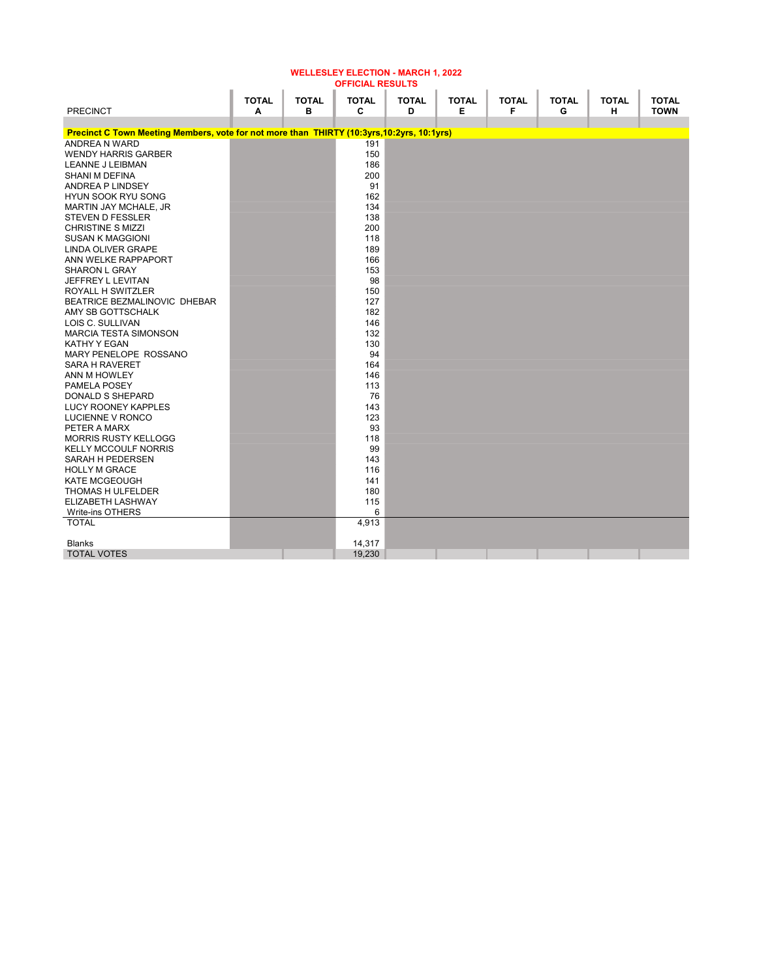| <b>OFFICIAL RESULTS</b>                                                                    |              |              |              |              |              |              |              |              |              |  |  |
|--------------------------------------------------------------------------------------------|--------------|--------------|--------------|--------------|--------------|--------------|--------------|--------------|--------------|--|--|
|                                                                                            | <b>TOTAL</b> | <b>TOTAL</b> | <b>TOTAL</b> | <b>TOTAL</b> | <b>TOTAL</b> | <b>TOTAL</b> | <b>TOTAL</b> | <b>TOTAL</b> | <b>TOTAL</b> |  |  |
| <b>PRECINCT</b>                                                                            | A            | в            | C            | D            | Е            | F            | G            | н            | <b>TOWN</b>  |  |  |
|                                                                                            |              |              |              |              |              |              |              |              |              |  |  |
| Precinct C Town Meeting Members, vote for not more than THIRTY (10:3yrs, 10:2yrs, 10:1yrs) |              |              |              |              |              |              |              |              |              |  |  |
| ANDREA N WARD                                                                              |              |              | 191          |              |              |              |              |              |              |  |  |
| <b>WENDY HARRIS GARBER</b>                                                                 |              |              | 150          |              |              |              |              |              |              |  |  |
| <b>LEANNE J LEIBMAN</b>                                                                    |              |              | 186          |              |              |              |              |              |              |  |  |
| SHANI M DEFINA                                                                             |              |              | 200          |              |              |              |              |              |              |  |  |
| ANDREA P LINDSEY                                                                           |              |              | 91           |              |              |              |              |              |              |  |  |
| <b>HYUN SOOK RYU SONG</b>                                                                  |              |              | 162          |              |              |              |              |              |              |  |  |
| MARTIN JAY MCHALE, JR                                                                      |              |              | 134          |              |              |              |              |              |              |  |  |
| <b>STEVEN D FESSLER</b>                                                                    |              |              | 138          |              |              |              |              |              |              |  |  |
| <b>CHRISTINE S MIZZI</b>                                                                   |              |              | 200          |              |              |              |              |              |              |  |  |
| <b>SUSAN K MAGGIONI</b>                                                                    |              |              | 118          |              |              |              |              |              |              |  |  |
| LINDA OLIVER GRAPE                                                                         |              |              | 189          |              |              |              |              |              |              |  |  |
| ANN WELKE RAPPAPORT                                                                        |              |              | 166          |              |              |              |              |              |              |  |  |
| <b>SHARON L GRAY</b>                                                                       |              |              | 153          |              |              |              |              |              |              |  |  |
| JEFFREY L LEVITAN                                                                          |              |              | 98           |              |              |              |              |              |              |  |  |
| <b>ROYALL H SWITZLER</b>                                                                   |              |              | 150          |              |              |              |              |              |              |  |  |
| BEATRICE BEZMALINOVIC DHEBAR                                                               |              |              | 127          |              |              |              |              |              |              |  |  |
| AMY SB GOTTSCHALK                                                                          |              |              | 182          |              |              |              |              |              |              |  |  |
| LOIS C. SULLIVAN                                                                           |              |              | 146          |              |              |              |              |              |              |  |  |
| <b>MARCIA TESTA SIMONSON</b>                                                               |              |              | 132          |              |              |              |              |              |              |  |  |
| KATHY Y EGAN                                                                               |              |              | 130          |              |              |              |              |              |              |  |  |
| MARY PENELOPE ROSSANO                                                                      |              |              | 94           |              |              |              |              |              |              |  |  |
| <b>SARA H RAVERET</b>                                                                      |              |              | 164          |              |              |              |              |              |              |  |  |
| ANN M HOWLEY                                                                               |              |              | 146          |              |              |              |              |              |              |  |  |
| <b>PAMELA POSEY</b>                                                                        |              |              | 113          |              |              |              |              |              |              |  |  |
| <b>DONALD S SHEPARD</b>                                                                    |              |              | 76           |              |              |              |              |              |              |  |  |
| LUCY ROONEY KAPPLES                                                                        |              |              | 143          |              |              |              |              |              |              |  |  |
| LUCIENNE V RONCO                                                                           |              |              | 123          |              |              |              |              |              |              |  |  |
| PETER A MARX                                                                               |              |              | 93           |              |              |              |              |              |              |  |  |
| <b>MORRIS RUSTY KELLOGG</b>                                                                |              |              | 118          |              |              |              |              |              |              |  |  |
| <b>KELLY MCCOULF NORRIS</b>                                                                |              |              | 99           |              |              |              |              |              |              |  |  |
| SARAH H PEDERSEN                                                                           |              |              | 143          |              |              |              |              |              |              |  |  |
| <b>HOLLY M GRACE</b>                                                                       |              |              | 116          |              |              |              |              |              |              |  |  |
| <b>KATE MCGEOUGH</b>                                                                       |              |              | 141          |              |              |              |              |              |              |  |  |
| THOMAS H ULFELDER                                                                          |              |              | 180          |              |              |              |              |              |              |  |  |
| ELIZABETH LASHWAY                                                                          |              |              | 115          |              |              |              |              |              |              |  |  |
| Write-ins OTHERS                                                                           |              |              | 6            |              |              |              |              |              |              |  |  |
| <b>TOTAL</b>                                                                               |              |              | 4,913        |              |              |              |              |              |              |  |  |
|                                                                                            |              |              |              |              |              |              |              |              |              |  |  |
| Blanks                                                                                     |              |              | 14,317       |              |              |              |              |              |              |  |  |
| <b>TOTAL VOTES</b>                                                                         |              |              | 19,230       |              |              |              |              |              |              |  |  |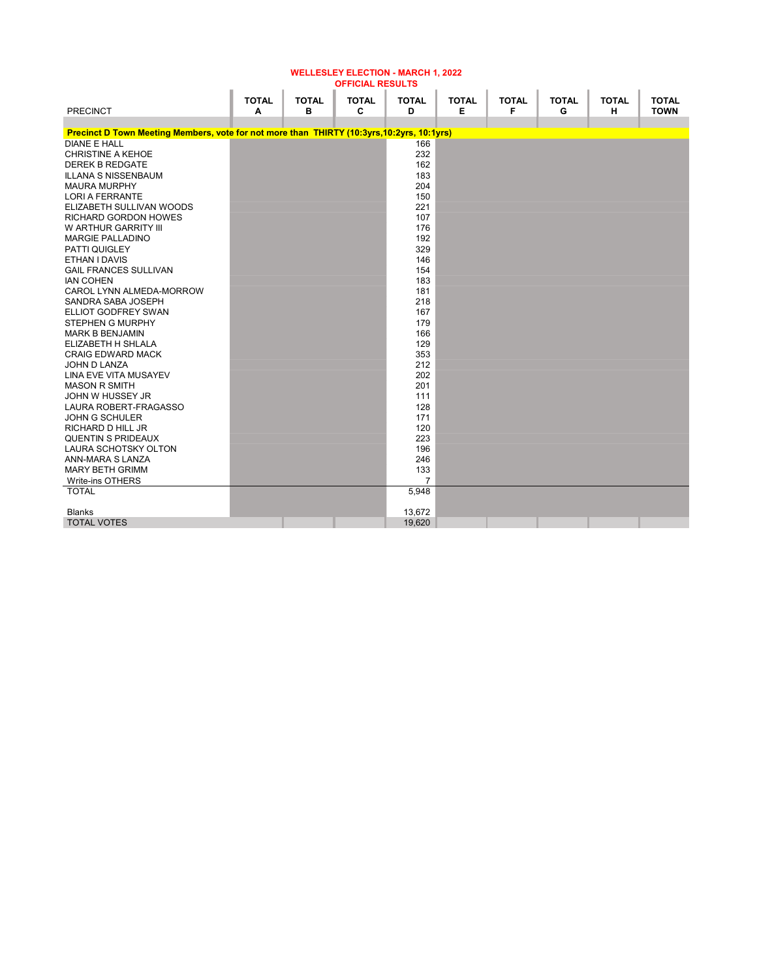| <b>OFFICIAL RESULTS</b>                                                                    |              |              |              |                |              |              |              |              |              |  |  |
|--------------------------------------------------------------------------------------------|--------------|--------------|--------------|----------------|--------------|--------------|--------------|--------------|--------------|--|--|
|                                                                                            | <b>TOTAL</b> | <b>TOTAL</b> | <b>TOTAL</b> | <b>TOTAL</b>   | <b>TOTAL</b> | <b>TOTAL</b> | <b>TOTAL</b> | <b>TOTAL</b> | <b>TOTAL</b> |  |  |
| <b>PRECINCT</b>                                                                            | A            | в            | C            | D              | Е            | F            | G            | н            | <b>TOWN</b>  |  |  |
|                                                                                            |              |              |              |                |              |              |              |              |              |  |  |
| Precinct D Town Meeting Members, vote for not more than THIRTY (10:3yrs, 10:2yrs, 10:1yrs) |              |              |              |                |              |              |              |              |              |  |  |
| <b>DIANE E HALL</b>                                                                        |              |              |              | 166            |              |              |              |              |              |  |  |
| <b>CHRISTINE A KEHOE</b>                                                                   |              |              |              | 232            |              |              |              |              |              |  |  |
| <b>DEREK B REDGATE</b>                                                                     |              |              |              | 162            |              |              |              |              |              |  |  |
| <b>ILLANA S NISSENBAUM</b>                                                                 |              |              |              | 183            |              |              |              |              |              |  |  |
| <b>MAURA MURPHY</b>                                                                        |              |              |              | 204            |              |              |              |              |              |  |  |
| <b>LORI A FERRANTE</b>                                                                     |              |              |              | 150            |              |              |              |              |              |  |  |
| ELIZABETH SULLIVAN WOODS                                                                   |              |              |              | 221            |              |              |              |              |              |  |  |
| RICHARD GORDON HOWES                                                                       |              |              |              | 107            |              |              |              |              |              |  |  |
| W ARTHUR GARRITY III                                                                       |              |              |              | 176            |              |              |              |              |              |  |  |
| <b>MARGIE PALLADINO</b>                                                                    |              |              |              | 192            |              |              |              |              |              |  |  |
| PATTI QUIGLEY                                                                              |              |              |              | 329            |              |              |              |              |              |  |  |
| ETHAN I DAVIS                                                                              |              |              |              | 146            |              |              |              |              |              |  |  |
| <b>GAIL FRANCES SULLIVAN</b>                                                               |              |              |              | 154            |              |              |              |              |              |  |  |
| <b>IAN COHEN</b>                                                                           |              |              |              | 183            |              |              |              |              |              |  |  |
| CAROL LYNN ALMEDA-MORROW                                                                   |              |              |              | 181            |              |              |              |              |              |  |  |
| SANDRA SABA JOSEPH                                                                         |              |              |              | 218            |              |              |              |              |              |  |  |
| ELLIOT GODFREY SWAN                                                                        |              |              |              | 167            |              |              |              |              |              |  |  |
| <b>STEPHEN G MURPHY</b>                                                                    |              |              |              | 179            |              |              |              |              |              |  |  |
| <b>MARK B BENJAMIN</b>                                                                     |              |              |              | 166            |              |              |              |              |              |  |  |
| ELIZABETH H SHLALA                                                                         |              |              |              | 129            |              |              |              |              |              |  |  |
| <b>CRAIG EDWARD MACK</b>                                                                   |              |              |              | 353            |              |              |              |              |              |  |  |
| JOHN D LANZA                                                                               |              |              |              | 212            |              |              |              |              |              |  |  |
| <b>LINA EVE VITA MUSAYEV</b>                                                               |              |              |              | 202            |              |              |              |              |              |  |  |
| <b>MASON R SMITH</b>                                                                       |              |              |              | 201            |              |              |              |              |              |  |  |
| JOHN W HUSSEY JR                                                                           |              |              |              | 111            |              |              |              |              |              |  |  |
| LAURA ROBERT-FRAGASSO                                                                      |              |              |              | 128            |              |              |              |              |              |  |  |
| <b>JOHN G SCHULER</b>                                                                      |              |              |              | 171            |              |              |              |              |              |  |  |
| <b>RICHARD D HILL JR</b>                                                                   |              |              |              | 120            |              |              |              |              |              |  |  |
| <b>QUENTIN S PRIDEAUX</b>                                                                  |              |              |              | 223            |              |              |              |              |              |  |  |
| <b>LAURA SCHOTSKY OLTON</b>                                                                |              |              |              | 196            |              |              |              |              |              |  |  |
| ANN-MARA S LANZA                                                                           |              |              |              | 246            |              |              |              |              |              |  |  |
| <b>MARY BETH GRIMM</b>                                                                     |              |              |              | 133            |              |              |              |              |              |  |  |
| Write-ins OTHERS                                                                           |              |              |              | $\overline{7}$ |              |              |              |              |              |  |  |
| <b>TOTAL</b>                                                                               |              |              |              | 5,948          |              |              |              |              |              |  |  |
|                                                                                            |              |              |              |                |              |              |              |              |              |  |  |
| <b>Blanks</b>                                                                              |              |              |              | 13,672         |              |              |              |              |              |  |  |
| <b>TOTAL VOTES</b>                                                                         |              |              |              | 19,620         |              |              |              |              |              |  |  |

WELLESLEY ELECTION - MARCH 1, 2022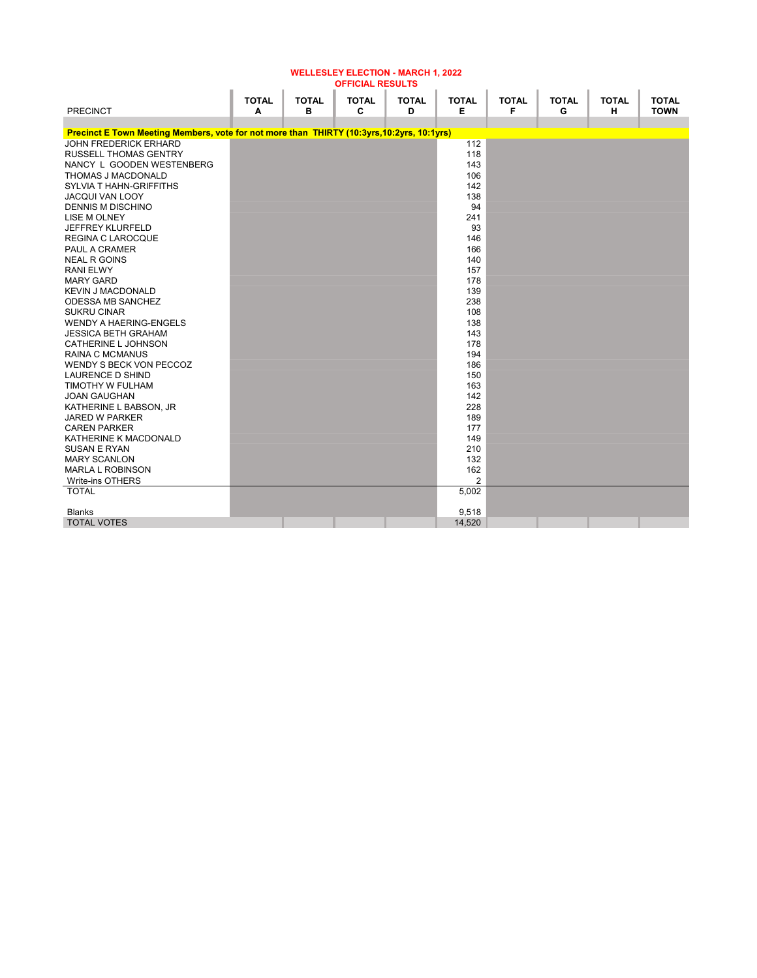| <b>OFFICIAL RESULTS</b>                                                                    |              |              |              |              |                |              |              |              |              |  |  |
|--------------------------------------------------------------------------------------------|--------------|--------------|--------------|--------------|----------------|--------------|--------------|--------------|--------------|--|--|
|                                                                                            | <b>TOTAL</b> | <b>TOTAL</b> | <b>TOTAL</b> | <b>TOTAL</b> | <b>TOTAL</b>   | <b>TOTAL</b> | <b>TOTAL</b> | <b>TOTAL</b> | <b>TOTAL</b> |  |  |
| <b>PRECINCT</b>                                                                            | A            | в            | C            | D            | Е              | F            | G            | н            | <b>TOWN</b>  |  |  |
|                                                                                            |              |              |              |              |                |              |              |              |              |  |  |
| Precinct E Town Meeting Members, vote for not more than THIRTY (10:3yrs, 10:2yrs, 10:1yrs) |              |              |              |              |                |              |              |              |              |  |  |
| <b>JOHN FREDERICK ERHARD</b>                                                               |              |              |              |              | 112            |              |              |              |              |  |  |
| <b>RUSSELL THOMAS GENTRY</b>                                                               |              |              |              |              | 118            |              |              |              |              |  |  |
| NANCY L GOODEN WESTENBERG                                                                  |              |              |              |              | 143            |              |              |              |              |  |  |
| THOMAS J MACDONALD                                                                         |              |              |              |              | 106            |              |              |              |              |  |  |
| <b>SYLVIA T HAHN-GRIFFITHS</b>                                                             |              |              |              |              | 142            |              |              |              |              |  |  |
| <b>JACQUI VAN LOOY</b>                                                                     |              |              |              |              | 138            |              |              |              |              |  |  |
| <b>DENNIS M DISCHINO</b>                                                                   |              |              |              |              | 94             |              |              |              |              |  |  |
| <b>LISE M OLNEY</b>                                                                        |              |              |              |              | 241            |              |              |              |              |  |  |
| JEFFREY KLURFELD                                                                           |              |              |              |              | 93             |              |              |              |              |  |  |
| <b>REGINA C LAROCQUE</b>                                                                   |              |              |              |              | 146            |              |              |              |              |  |  |
| PAUL A CRAMER                                                                              |              |              |              |              | 166            |              |              |              |              |  |  |
| <b>NEAL R GOINS</b>                                                                        |              |              |              |              | 140            |              |              |              |              |  |  |
| <b>RANI ELWY</b>                                                                           |              |              |              |              | 157            |              |              |              |              |  |  |
| <b>MARY GARD</b>                                                                           |              |              |              |              | 178            |              |              |              |              |  |  |
| <b>KEVIN J MACDONALD</b>                                                                   |              |              |              |              | 139            |              |              |              |              |  |  |
| ODESSA MB SANCHEZ                                                                          |              |              |              |              | 238            |              |              |              |              |  |  |
| <b>SUKRU CINAR</b>                                                                         |              |              |              |              | 108            |              |              |              |              |  |  |
| <b>WENDY A HAERING-ENGELS</b>                                                              |              |              |              |              | 138            |              |              |              |              |  |  |
| <b>JESSICA BETH GRAHAM</b>                                                                 |              |              |              |              | 143            |              |              |              |              |  |  |
| CATHERINE L JOHNSON                                                                        |              |              |              |              | 178            |              |              |              |              |  |  |
| <b>RAINA C MCMANUS</b>                                                                     |              |              |              |              | 194            |              |              |              |              |  |  |
| WENDY S BECK VON PECCOZ                                                                    |              |              |              |              | 186            |              |              |              |              |  |  |
| LAURENCE D SHIND                                                                           |              |              |              |              | 150            |              |              |              |              |  |  |
| TIMOTHY W FULHAM                                                                           |              |              |              |              | 163            |              |              |              |              |  |  |
| <b>JOAN GAUGHAN</b>                                                                        |              |              |              |              | 142            |              |              |              |              |  |  |
| KATHERINE L BABSON. JR                                                                     |              |              |              |              | 228            |              |              |              |              |  |  |
| <b>JARED W PARKER</b>                                                                      |              |              |              |              | 189            |              |              |              |              |  |  |
| <b>CAREN PARKER</b>                                                                        |              |              |              |              | 177            |              |              |              |              |  |  |
| KATHERINE K MACDONALD                                                                      |              |              |              |              | 149            |              |              |              |              |  |  |
| <b>SUSAN E RYAN</b>                                                                        |              |              |              |              | 210            |              |              |              |              |  |  |
| <b>MARY SCANLON</b>                                                                        |              |              |              |              | 132            |              |              |              |              |  |  |
| <b>MARLA L ROBINSON</b>                                                                    |              |              |              |              | 162            |              |              |              |              |  |  |
| Write-ins OTHERS                                                                           |              |              |              |              | $\overline{2}$ |              |              |              |              |  |  |
| <b>TOTAL</b>                                                                               |              |              |              |              | 5,002          |              |              |              |              |  |  |
|                                                                                            |              |              |              |              |                |              |              |              |              |  |  |
| <b>Blanks</b>                                                                              |              |              |              |              | 9,518          |              |              |              |              |  |  |
| <b>TOTAL VOTES</b>                                                                         |              |              |              |              | 14,520         |              |              |              |              |  |  |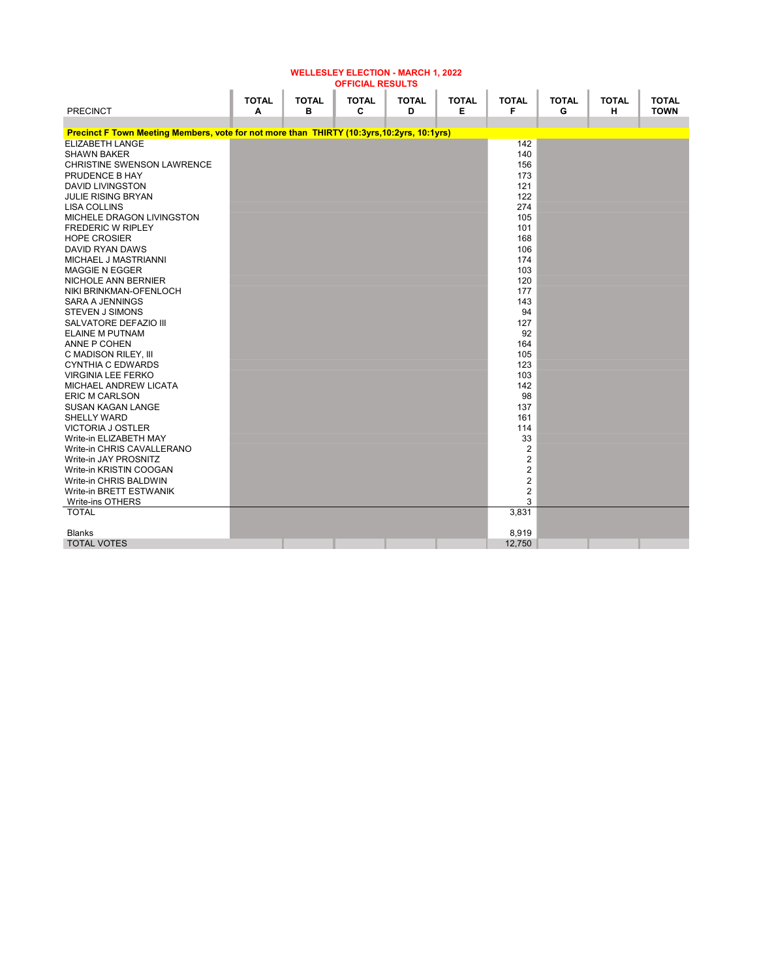|                                                                                            | <b>TOTAL</b> | <b>TOTAL</b> | <b>TOTAL</b> | <b>TOTAL</b> | <b>TOTAL</b> | <b>TOTAL</b>            | <b>TOTAL</b> | <b>TOTAL</b> | <b>TOTAL</b> |
|--------------------------------------------------------------------------------------------|--------------|--------------|--------------|--------------|--------------|-------------------------|--------------|--------------|--------------|
| <b>PRECINCT</b>                                                                            | A            | в            | C            | D            | Е            | F                       | G            | н            | <b>TOWN</b>  |
|                                                                                            |              |              |              |              |              |                         |              |              |              |
| Precinct F Town Meeting Members, vote for not more than THIRTY (10:3yrs, 10:2yrs, 10:1yrs) |              |              |              |              |              |                         |              |              |              |
| <b>ELIZABETH LANGE</b>                                                                     |              |              |              |              |              | 142                     |              |              |              |
| <b>SHAWN BAKER</b>                                                                         |              |              |              |              |              | 140                     |              |              |              |
| <b>CHRISTINE SWENSON LAWRENCE</b>                                                          |              |              |              |              |              | 156                     |              |              |              |
| PRUDENCE B HAY                                                                             |              |              |              |              |              | 173                     |              |              |              |
| <b>DAVID LIVINGSTON</b>                                                                    |              |              |              |              |              | 121                     |              |              |              |
| <b>JULIE RISING BRYAN</b>                                                                  |              |              |              |              |              | 122                     |              |              |              |
| LISA COLLINS                                                                               |              |              |              |              |              | 274                     |              |              |              |
| MICHELE DRAGON LIVINGSTON                                                                  |              |              |              |              |              | 105                     |              |              |              |
| <b>FREDERIC W RIPLEY</b>                                                                   |              |              |              |              |              | 101                     |              |              |              |
| <b>HOPE CROSIER</b>                                                                        |              |              |              |              |              | 168                     |              |              |              |
| <b>DAVID RYAN DAWS</b>                                                                     |              |              |              |              |              | 106                     |              |              |              |
| MICHAEL J MASTRIANNI                                                                       |              |              |              |              |              | 174                     |              |              |              |
| <b>MAGGIE N EGGER</b>                                                                      |              |              |              |              |              | 103                     |              |              |              |
| NICHOLE ANN BERNIER                                                                        |              |              |              |              |              | 120                     |              |              |              |
| NIKI BRINKMAN-OFENLOCH                                                                     |              |              |              |              |              | 177                     |              |              |              |
| <b>SARA A JENNINGS</b>                                                                     |              |              |              |              |              | 143                     |              |              |              |
| <b>STEVEN J SIMONS</b>                                                                     |              |              |              |              |              | 94                      |              |              |              |
| SALVATORE DEFAZIO III                                                                      |              |              |              |              |              | 127                     |              |              |              |
| <b>ELAINE M PUTNAM</b>                                                                     |              |              |              |              |              | 92                      |              |              |              |
| ANNE P COHEN                                                                               |              |              |              |              |              | 164                     |              |              |              |
| C MADISON RILEY, III                                                                       |              |              |              |              |              | 105                     |              |              |              |
| <b>CYNTHIA C EDWARDS</b>                                                                   |              |              |              |              |              | 123                     |              |              |              |
| <b>VIRGINIA LEE FERKO</b>                                                                  |              |              |              |              |              | 103                     |              |              |              |
| MICHAEL ANDREW LICATA                                                                      |              |              |              |              |              | 142                     |              |              |              |
| <b>ERIC M CARLSON</b>                                                                      |              |              |              |              |              | 98                      |              |              |              |
| <b>SUSAN KAGAN LANGE</b>                                                                   |              |              |              |              |              | 137                     |              |              |              |
| SHELLY WARD                                                                                |              |              |              |              |              | 161                     |              |              |              |
| <b>VICTORIA J OSTLER</b>                                                                   |              |              |              |              |              | 114                     |              |              |              |
| Write-in ELIZABETH MAY                                                                     |              |              |              |              |              | 33                      |              |              |              |
| Write-in CHRIS CAVALLERANO                                                                 |              |              |              |              |              | 2                       |              |              |              |
| Write-in JAY PROSNITZ                                                                      |              |              |              |              |              | $\overline{2}$          |              |              |              |
| Write-in KRISTIN COOGAN                                                                    |              |              |              |              |              | $\overline{2}$          |              |              |              |
| Write-in CHRIS BALDWIN                                                                     |              |              |              |              |              | $\overline{2}$          |              |              |              |
| Write-in BRETT ESTWANIK                                                                    |              |              |              |              |              | $\overline{\mathbf{c}}$ |              |              |              |
| Write-ins OTHERS                                                                           |              |              |              |              |              | 3                       |              |              |              |
| <b>TOTAL</b>                                                                               |              |              |              |              |              | 3,831                   |              |              |              |
|                                                                                            |              |              |              |              |              |                         |              |              |              |
| <b>Blanks</b>                                                                              |              |              |              |              |              | 8,919                   |              |              |              |
| <b>TOTAL VOTES</b>                                                                         |              |              |              |              |              | 12,750                  |              |              |              |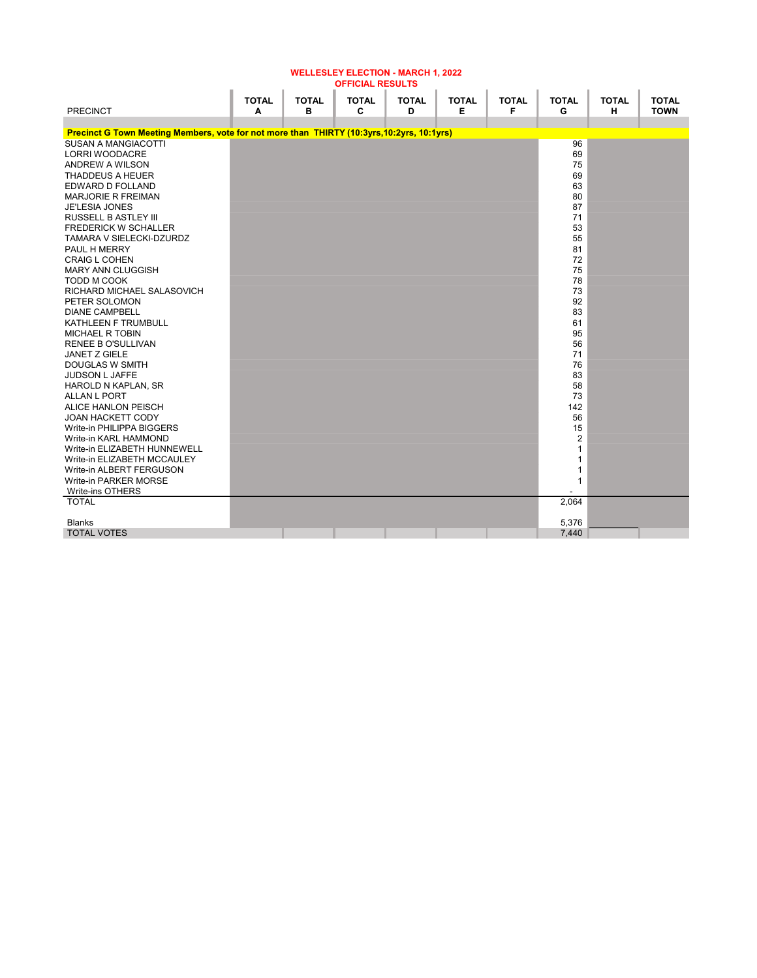|                                                                                            | <b>TOTAL</b> | <b>TOTAL</b> | <b>TOTAL</b> | <b>TOTAL</b> | <b>TOTAL</b> | <b>TOTAL</b> | <b>TOTAL</b> | <b>TOTAL</b> | <b>TOTAL</b> |
|--------------------------------------------------------------------------------------------|--------------|--------------|--------------|--------------|--------------|--------------|--------------|--------------|--------------|
| <b>PRECINCT</b>                                                                            | A            | в            | C            | D            | Е            | F            | G            | н            | <b>TOWN</b>  |
| Precinct G Town Meeting Members, vote for not more than THIRTY (10:3yrs, 10:2yrs, 10:1yrs) |              |              |              |              |              |              |              |              |              |
| <b>SUSAN A MANGIACOTTI</b>                                                                 |              |              |              |              |              |              | 96           |              |              |
| LORRI WOODACRE                                                                             |              |              |              |              |              |              | 69           |              |              |
| ANDREW A WILSON                                                                            |              |              |              |              |              |              | 75           |              |              |
| <b>THADDEUS A HEUER</b>                                                                    |              |              |              |              |              |              | 69           |              |              |
| EDWARD D FOLLAND                                                                           |              |              |              |              |              |              | 63           |              |              |
| <b>MARJORIE R FREIMAN</b>                                                                  |              |              |              |              |              |              | 80           |              |              |
| <b>JE'LESIA JONES</b>                                                                      |              |              |              |              |              |              | 87           |              |              |
| <b>RUSSELL B ASTLEY III</b>                                                                |              |              |              |              |              |              | 71           |              |              |
| <b>FREDERICK W SCHALLER</b>                                                                |              |              |              |              |              |              | 53           |              |              |
| <b>TAMARA V SIELECKI-DZURDZ</b>                                                            |              |              |              |              |              |              | 55           |              |              |
| PAUL H MERRY                                                                               |              |              |              |              |              |              | 81           |              |              |
| <b>CRAIG L COHEN</b>                                                                       |              |              |              |              |              |              | 72           |              |              |
| MARY ANN CLUGGISH                                                                          |              |              |              |              |              |              | 75           |              |              |
| TODD M COOK                                                                                |              |              |              |              |              |              | 78           |              |              |
| RICHARD MICHAEL SALASOVICH                                                                 |              |              |              |              |              |              | 73           |              |              |
| PETER SOLOMON                                                                              |              |              |              |              |              |              | 92           |              |              |
| <b>DIANE CAMPBELL</b>                                                                      |              |              |              |              |              |              | 83           |              |              |
| KATHLEEN F TRUMBULL                                                                        |              |              |              |              |              |              | 61           |              |              |
| <b>MICHAEL R TOBIN</b>                                                                     |              |              |              |              |              |              | 95           |              |              |
| RENEE B O'SULLIVAN                                                                         |              |              |              |              |              |              | 56           |              |              |
| <b>JANET Z GIELE</b>                                                                       |              |              |              |              |              |              | 71           |              |              |
| <b>DOUGLAS W SMITH</b>                                                                     |              |              |              |              |              |              | 76           |              |              |
| JUDSON L JAFFE                                                                             |              |              |              |              |              |              | 83           |              |              |
| HAROLD N KAPLAN, SR                                                                        |              |              |              |              |              |              | 58           |              |              |
| ALLAN L PORT                                                                               |              |              |              |              |              |              | 73           |              |              |
| ALICE HANLON PEISCH                                                                        |              |              |              |              |              |              | 142          |              |              |
| <b>JOAN HACKETT CODY</b>                                                                   |              |              |              |              |              |              | 56           |              |              |
| Write-in PHILIPPA BIGGERS                                                                  |              |              |              |              |              |              | 15           |              |              |
| Write-in KARL HAMMOND                                                                      |              |              |              |              |              |              | 2            |              |              |
| Write-in ELIZABETH HUNNEWELL                                                               |              |              |              |              |              |              | $\mathbf{1}$ |              |              |
| Write-in ELIZABETH MCCAULEY                                                                |              |              |              |              |              |              | $\mathbf{1}$ |              |              |
| Write-in ALBERT FERGUSON                                                                   |              |              |              |              |              |              | 1            |              |              |
| Write-in PARKER MORSE                                                                      |              |              |              |              |              |              | $\mathbf{1}$ |              |              |
| Write-ins OTHERS<br><b>TOTAL</b>                                                           |              |              |              |              |              |              | 2,064        |              |              |
|                                                                                            |              |              |              |              |              |              |              |              |              |
| <b>Blanks</b>                                                                              |              |              |              |              |              |              | 5,376        |              |              |
| <b>TOTAL VOTES</b>                                                                         |              |              |              |              |              |              | 7,440        |              |              |
|                                                                                            |              |              |              |              |              |              |              |              |              |